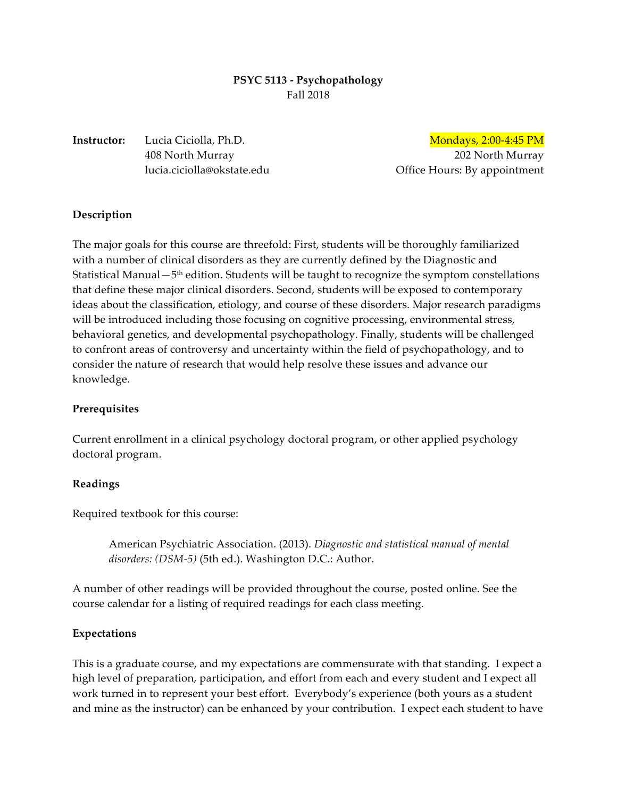# **PSYC 5113 - Psychopathology** Fall 2018

# **Instructor:** Lucia Ciciolla, Ph.D. Mondays, 2:00-4:45 PM

408 North Murray 202 North Murray lucia.ciciolla@okstate.edu Office Hours: By appointment

# **Description**

The major goals for this course are threefold: First, students will be thoroughly familiarized with a number of clinical disorders as they are currently defined by the Diagnostic and Statistical Manual $-5<sup>th</sup>$  edition. Students will be taught to recognize the symptom constellations that define these major clinical disorders. Second, students will be exposed to contemporary ideas about the classification, etiology, and course of these disorders. Major research paradigms will be introduced including those focusing on cognitive processing, environmental stress, behavioral genetics, and developmental psychopathology. Finally, students will be challenged to confront areas of controversy and uncertainty within the field of psychopathology, and to consider the nature of research that would help resolve these issues and advance our knowledge.

# **Prerequisites**

Current enrollment in a clinical psychology doctoral program, or other applied psychology doctoral program.

# **Readings**

Required textbook for this course:

American Psychiatric Association. (2013). *Diagnostic and statistical manual of mental disorders: (DSM-5)* (5th ed.). Washington D.C.: Author.

A number of other readings will be provided throughout the course, posted online. See the course calendar for a listing of required readings for each class meeting.

# **Expectations**

This is a graduate course, and my expectations are commensurate with that standing. I expect a high level of preparation, participation, and effort from each and every student and I expect all work turned in to represent your best effort. Everybody's experience (both yours as a student and mine as the instructor) can be enhanced by your contribution. I expect each student to have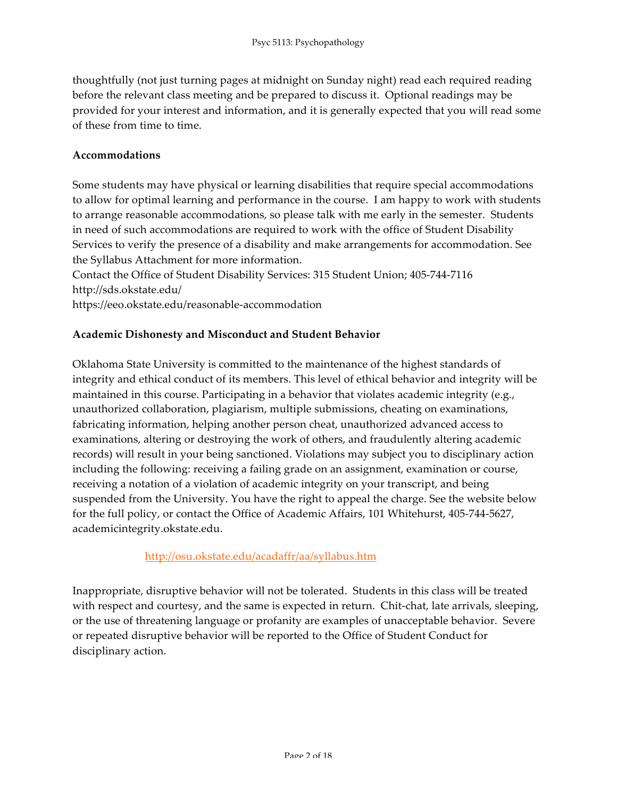thoughtfully (not just turning pages at midnight on Sunday night) read each required reading before the relevant class meeting and be prepared to discuss it. Optional readings may be provided for your interest and information, and it is generally expected that you will read some of these from time to time.

# **Accommodations**

Some students may have physical or learning disabilities that require special accommodations to allow for optimal learning and performance in the course. I am happy to work with students to arrange reasonable accommodations, so please talk with me early in the semester. Students in need of such accommodations are required to work with the office of Student Disability Services to verify the presence of a disability and make arrangements for accommodation. See the Syllabus Attachment for more information.

Contact the Office of Student Disability Services: 315 Student Union; 405-744-7116 http://sds.okstate.edu/

https://eeo.okstate.edu/reasonable-accommodation

# **Academic Dishonesty and Misconduct and Student Behavior**

Oklahoma State University is committed to the maintenance of the highest standards of integrity and ethical conduct of its members. This level of ethical behavior and integrity will be maintained in this course. Participating in a behavior that violates academic integrity (e.g., unauthorized collaboration, plagiarism, multiple submissions, cheating on examinations, fabricating information, helping another person cheat, unauthorized advanced access to examinations, altering or destroying the work of others, and fraudulently altering academic records) will result in your being sanctioned. Violations may subject you to disciplinary action including the following: receiving a failing grade on an assignment, examination or course, receiving a notation of a violation of academic integrity on your transcript, and being suspended from the University. You have the right to appeal the charge. See the website below for the full policy, or contact the Office of Academic Affairs, 101 Whitehurst, 405-744-5627, academicintegrity.okstate.edu.

http://osu.okstate.edu/acadaffr/aa/syllabus.htm

Inappropriate, disruptive behavior will not be tolerated. Students in this class will be treated with respect and courtesy, and the same is expected in return. Chit-chat, late arrivals, sleeping, or the use of threatening language or profanity are examples of unacceptable behavior. Severe or repeated disruptive behavior will be reported to the Office of Student Conduct for disciplinary action.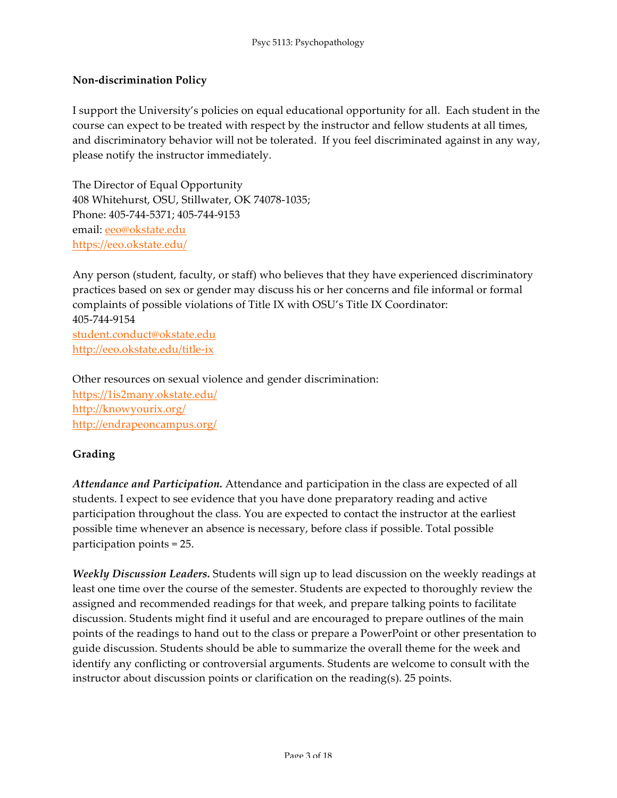# **Non-discrimination Policy**

I support the University's policies on equal educational opportunity for all. Each student in the course can expect to be treated with respect by the instructor and fellow students at all times, and discriminatory behavior will not be tolerated. If you feel discriminated against in any way, please notify the instructor immediately.

The Director of Equal Opportunity 408 Whitehurst, OSU, Stillwater, OK 74078-1035; Phone: 405-744-5371; 405-744-9153 email: eeo@okstate.edu https://eeo.okstate.edu/

Any person (student, faculty, or staff) who believes that they have experienced discriminatory practices based on sex or gender may discuss his or her concerns and file informal or formal complaints of possible violations of Title IX with OSU's Title IX Coordinator: 405-744-9154 student.conduct@okstate.edu http://eeo.okstate.edu/title-ix

Other resources on sexual violence and gender discrimination: https://1is2many.okstate.edu/ http://knowyourix.org/ http://endrapeoncampus.org/

# **Grading**

*Attendance and Participation.* Attendance and participation in the class are expected of all students. I expect to see evidence that you have done preparatory reading and active participation throughout the class. You are expected to contact the instructor at the earliest possible time whenever an absence is necessary, before class if possible. Total possible participation points = 25.

*Weekly Discussion Leaders.* Students will sign up to lead discussion on the weekly readings at least one time over the course of the semester. Students are expected to thoroughly review the assigned and recommended readings for that week, and prepare talking points to facilitate discussion. Students might find it useful and are encouraged to prepare outlines of the main points of the readings to hand out to the class or prepare a PowerPoint or other presentation to guide discussion. Students should be able to summarize the overall theme for the week and identify any conflicting or controversial arguments. Students are welcome to consult with the instructor about discussion points or clarification on the reading(s). 25 points.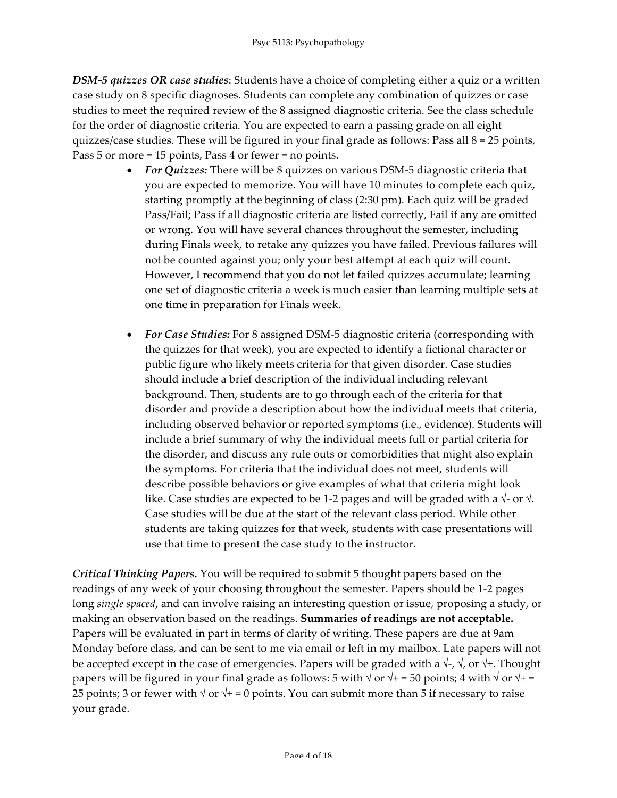*DSM-5 quizzes OR case studies*: Students have a choice of completing either a quiz or a written case study on 8 specific diagnoses. Students can complete any combination of quizzes or case studies to meet the required review of the 8 assigned diagnostic criteria. See the class schedule for the order of diagnostic criteria. You are expected to earn a passing grade on all eight quizzes/case studies. These will be figured in your final grade as follows: Pass all  $8 = 25$  points, Pass 5 or more = 15 points, Pass 4 or fewer = no points.

- *For Quizzes:* There will be 8 quizzes on various DSM-5 diagnostic criteria that you are expected to memorize. You will have 10 minutes to complete each quiz, starting promptly at the beginning of class (2:30 pm). Each quiz will be graded Pass/Fail; Pass if all diagnostic criteria are listed correctly, Fail if any are omitted or wrong. You will have several chances throughout the semester, including during Finals week, to retake any quizzes you have failed. Previous failures will not be counted against you; only your best attempt at each quiz will count. However, I recommend that you do not let failed quizzes accumulate; learning one set of diagnostic criteria a week is much easier than learning multiple sets at one time in preparation for Finals week.
- *For Case Studies:* For 8 assigned DSM-5 diagnostic criteria (corresponding with the quizzes for that week), you are expected to identify a fictional character or public figure who likely meets criteria for that given disorder. Case studies should include a brief description of the individual including relevant background. Then, students are to go through each of the criteria for that disorder and provide a description about how the individual meets that criteria, including observed behavior or reported symptoms (i.e., evidence). Students will include a brief summary of why the individual meets full or partial criteria for the disorder, and discuss any rule outs or comorbidities that might also explain the symptoms. For criteria that the individual does not meet, students will describe possible behaviors or give examples of what that criteria might look like. Case studies are expected to be 1-2 pages and will be graded with a  $\sqrt{\ }$ - or  $\sqrt{\ }$ . Case studies will be due at the start of the relevant class period. While other students are taking quizzes for that week, students with case presentations will use that time to present the case study to the instructor.

*Critical Thinking Papers.* You will be required to submit 5 thought papers based on the readings of any week of your choosing throughout the semester. Papers should be 1-2 pages long *single spaced*, and can involve raising an interesting question or issue, proposing a study, or making an observation based on the readings. **Summaries of readings are not acceptable.** Papers will be evaluated in part in terms of clarity of writing. These papers are due at 9am Monday before class, and can be sent to me via email or left in my mailbox. Late papers will not be accepted except in the case of emergencies. Papers will be graded with a  $\sqrt{\ }$ ,  $\sqrt{\ }$ , or  $\sqrt{\ }$ . Thought papers will be figured in your final grade as follows: 5 with  $\sqrt{or} + 1 = 50$  points; 4 with  $\sqrt{or} + 1 = 1$ 25 points; 3 or fewer with  $\sqrt{$  or  $\sqrt{+}$  = 0 points. You can submit more than 5 if necessary to raise your grade.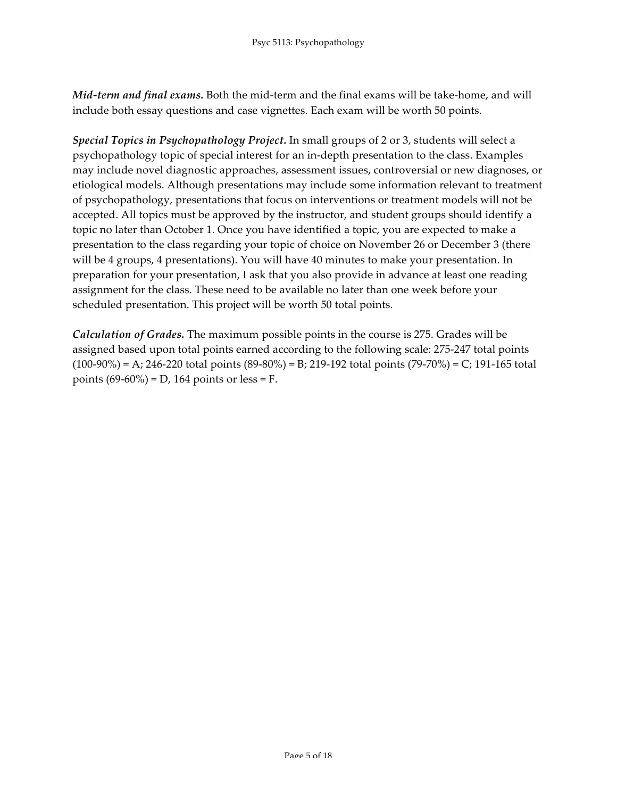*Mid-term and final exams.* Both the mid-term and the final exams will be take-home, and will include both essay questions and case vignettes. Each exam will be worth 50 points.

*Special Topics in Psychopathology Project.* In small groups of 2 or 3, students will select a psychopathology topic of special interest for an in-depth presentation to the class. Examples may include novel diagnostic approaches, assessment issues, controversial or new diagnoses, or etiological models. Although presentations may include some information relevant to treatment of psychopathology, presentations that focus on interventions or treatment models will not be accepted. All topics must be approved by the instructor, and student groups should identify a topic no later than October 1. Once you have identified a topic, you are expected to make a presentation to the class regarding your topic of choice on November 26 or December 3 (there will be 4 groups, 4 presentations). You will have 40 minutes to make your presentation. In preparation for your presentation, I ask that you also provide in advance at least one reading assignment for the class. These need to be available no later than one week before your scheduled presentation. This project will be worth 50 total points.

*Calculation of Grades.* The maximum possible points in the course is 275. Grades will be assigned based upon total points earned according to the following scale: 275-247 total points  $(100-90\%)$  = A; 246-220 total points  $(89-80\%)$  = B; 219-192 total points  $(79-70\%)$  = C; 191-165 total points  $(69-60\%) = D$ , 164 points or less = F.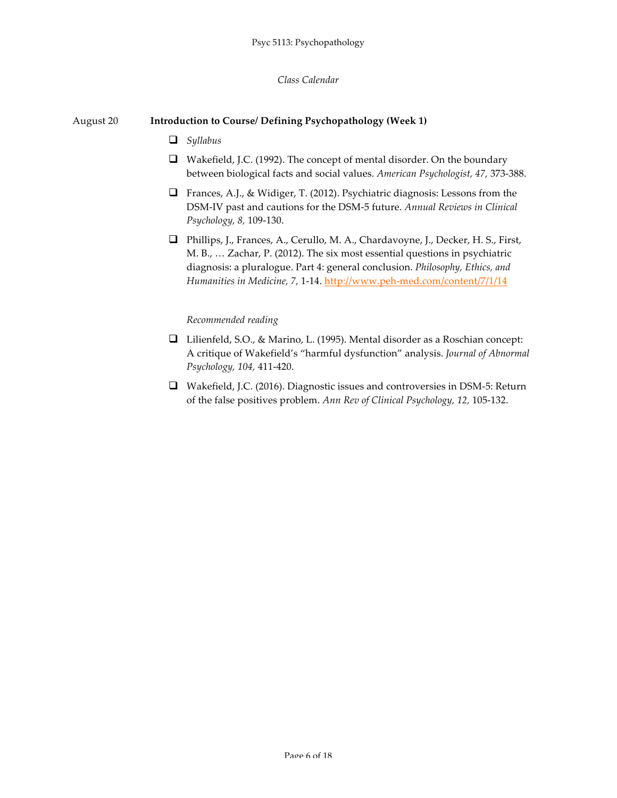#### *Class Calendar*

## August 20 **Introduction to Course/ Defining Psychopathology (Week 1)**

- q *Syllabus*
- $\Box$  Wakefield, J.C. (1992). The concept of mental disorder. On the boundary between biological facts and social values. *American Psychologist, 47,* 373-388.
- $\Box$  Frances, A.J., & Widiger, T. (2012). Psychiatric diagnosis: Lessons from the DSM-IV past and cautions for the DSM-5 future. *Annual Reviews in Clinical Psychology, 8,* 109-130.
- q Phillips, J., Frances, A., Cerullo, M. A., Chardavoyne, J., Decker, H. S., First, M. B., … Zachar, P. (2012). The six most essential questions in psychiatric diagnosis: a pluralogue. Part 4: general conclusion. *Philosophy, Ethics, and Humanities in Medicine, 7,* 1-14. http://www.peh-med.com/content/7/1/14

- □ Lilienfeld, S.O., & Marino, L. (1995). Mental disorder as a Roschian concept: A critique of Wakefield's "harmful dysfunction" analysis. *Journal of Abnormal Psychology, 104,* 411-420.
- $\Box$  Wakefield, J.C. (2016). Diagnostic issues and controversies in DSM-5: Return of the false positives problem. *Ann Rev of Clinical Psychology, 12,* 105-132.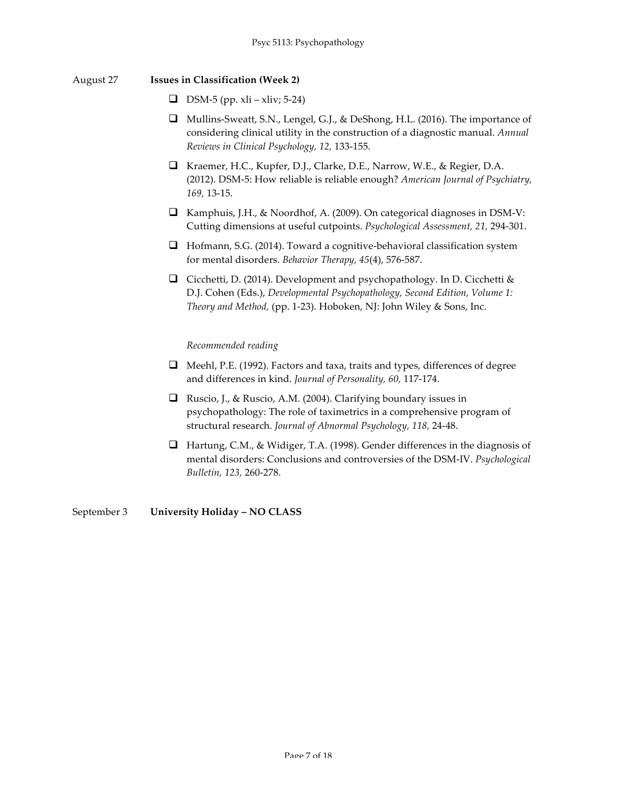#### August 27 **Issues in Classification (Week 2)**

- $\Box$  DSM-5 (pp. xli xliv; 5-24)
- $\Box$  Mullins-Sweatt, S.N., Lengel, G.J., & DeShong, H.L. (2016). The importance of considering clinical utility in the construction of a diagnostic manual. *Annual Reviews in Clinical Psychology, 12,* 133-155.
- q Kraemer, H.C., Kupfer, D.J., Clarke, D.E., Narrow, W.E., & Regier, D.A. (2012). DSM-5: How reliable is reliable enough? *American Journal of Psychiatry, 169,* 13-15.
- $\Box$  Kamphuis, J.H., & Noordhof, A. (2009). On categorical diagnoses in DSM-V: Cutting dimensions at useful cutpoints. *Psychological Assessment, 21,* 294-301.
- $\Box$  Hofmann, S.G. (2014). Toward a cognitive-behavioral classification system for mental disorders. *Behavior Therapy, 45*(4), 576-587.
- Gicchetti, D. (2014). Development and psychopathology. In D. Cicchetti  $\&$ D.J. Cohen (Eds.), *Developmental Psychopathology, Second Edition, Volume 1: Theory and Method,* (pp. 1-23). Hoboken, NJ: John Wiley & Sons, Inc.

#### *Recommended reading*

- $\Box$  Meehl, P.E. (1992). Factors and taxa, traits and types, differences of degree and differences in kind. *Journal of Personality, 60,* 117-174.
- **Q** Ruscio, J., & Ruscio, A.M. (2004). Clarifying boundary issues in psychopathology: The role of taximetrics in a comprehensive program of structural research. *Journal of Abnormal Psychology, 118,* 24-48.
- $\Box$  Hartung, C.M., & Widiger, T.A. (1998). Gender differences in the diagnosis of mental disorders: Conclusions and controversies of the DSM-IV. *Psychological Bulletin, 123,* 260-278.

September 3 **University Holiday – NO CLASS**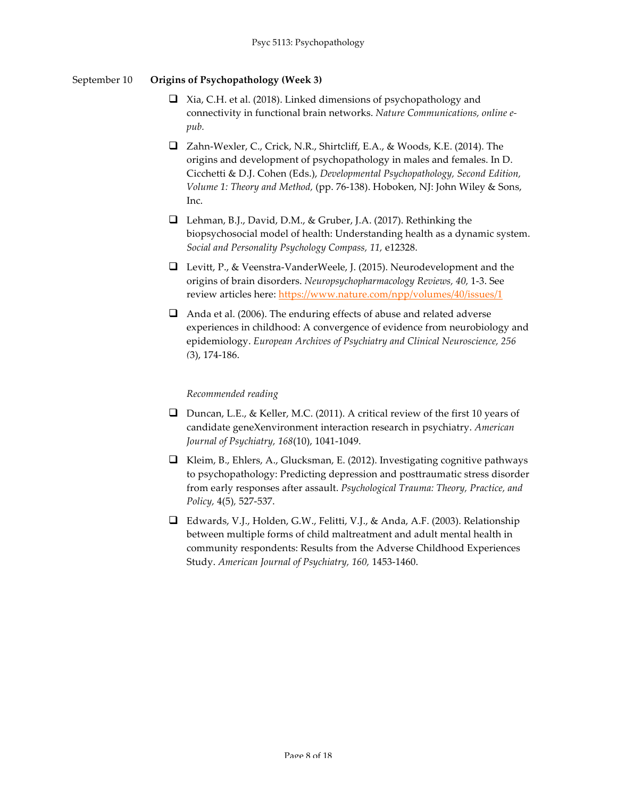# September 10 **Origins of Psychopathology (Week 3)**

- $\Box$  Xia, C.H. et al. (2018). Linked dimensions of psychopathology and connectivity in functional brain networks. *Nature Communications, online epub.*
- q Zahn-Wexler, C., Crick, N.R., Shirtcliff, E.A., & Woods, K.E. (2014). The origins and development of psychopathology in males and females. In D. Cicchetti & D.J. Cohen (Eds.), *Developmental Psychopathology, Second Edition, Volume 1: Theory and Method,* (pp. 76-138). Hoboken, NJ: John Wiley & Sons, Inc.
- **Q** Lehman, B.J., David, D.M., & Gruber, J.A. (2017). Rethinking the biopsychosocial model of health: Understanding health as a dynamic system. *Social and Personality Psychology Compass, 11,* e12328.
- **Q** Levitt, P., & Veenstra-VanderWeele, J. (2015). Neurodevelopment and the origins of brain disorders. *Neuropsychopharmacology Reviews, 40,* 1-3. See review articles here: https://www.nature.com/npp/volumes/40/issues/1
- $\Box$  Anda et al. (2006). The enduring effects of abuse and related adverse experiences in childhood: A convergence of evidence from neurobiology and epidemiology. *European Archives of Psychiatry and Clinical Neuroscience, 256 (*3), 174-186.

- **Q** Duncan, L.E., & Keller, M.C. (2011). A critical review of the first 10 years of candidate geneXenvironment interaction research in psychiatry. *American Journal of Psychiatry, 168*(10), 1041-1049.
- $\Box$  Kleim, B., Ehlers, A., Glucksman, E. (2012). Investigating cognitive pathways to psychopathology: Predicting depression and posttraumatic stress disorder from early responses after assault. *Psychological Trauma: Theory, Practice, and Policy,* 4(5)*,* 527-537.
- $\Box$  Edwards, V.J., Holden, G.W., Felitti, V.J., & Anda, A.F. (2003). Relationship between multiple forms of child maltreatment and adult mental health in community respondents: Results from the Adverse Childhood Experiences Study. *American Journal of Psychiatry, 160,* 1453-1460.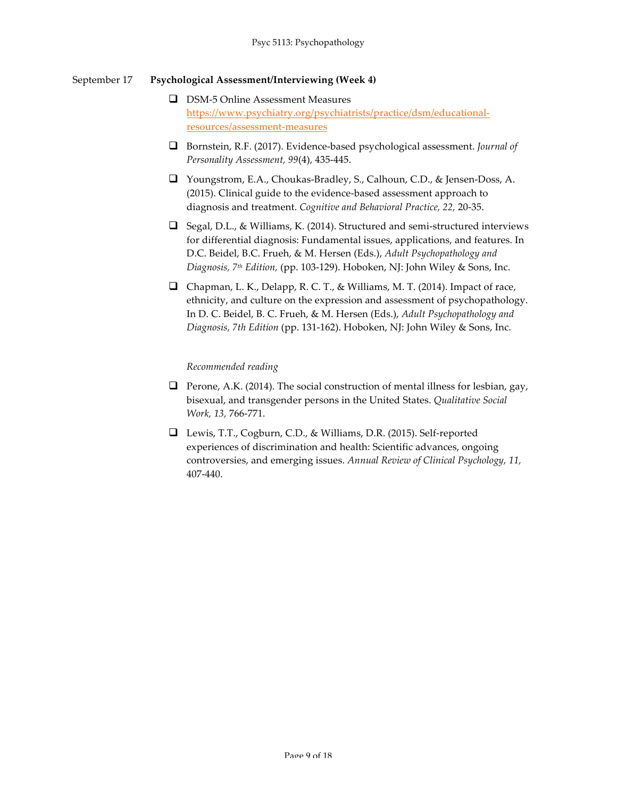## September 17 **Psychological Assessment/Interviewing (Week 4)**

- **Q** DSM-5 Online Assessment Measures https://www.psychiatry.org/psychiatrists/practice/dsm/educationalresources/assessment-measures
- □ Bornstein, R.F. (2017). Evidence-based psychological assessment. *Journal of Personality Assessment, 99*(4), 435-445.
- □ Youngstrom, E.A., Choukas-Bradley, S., Calhoun, C.D., & Jensen-Doss, A. (2015). Clinical guide to the evidence-based assessment approach to diagnosis and treatment. *Cognitive and Behavioral Practice, 22,* 20-35.
- $\Box$  Segal, D.L., & Williams, K. (2014). Structured and semi-structured interviews for differential diagnosis: Fundamental issues, applications, and features. In D.C. Beidel, B.C. Frueh, & M. Hersen (Eds.), *Adult Psychopathology and Diagnosis, 7th Edition,* (pp. 103-129). Hoboken, NJ: John Wiley & Sons, Inc.
- $\Box$  Chapman, L. K., Delapp, R. C. T., & Williams, M. T. (2014). Impact of race, ethnicity, and culture on the expression and assessment of psychopathology. In D. C. Beidel, B. C. Frueh, & M. Hersen (Eds.), *Adult Psychopathology and Diagnosis, 7th Edition* (pp. 131-162). Hoboken, NJ: John Wiley & Sons, Inc.

- **Q** Perone, A.K. (2014). The social construction of mental illness for lesbian, gay, bisexual, and transgender persons in the United States. *Qualitative Social Work, 13,* 766-771.
- □ Lewis, T.T., Cogburn, C.D., & Williams, D.R. (2015). Self-reported experiences of discrimination and health: Scientific advances, ongoing controversies, and emerging issues. *Annual Review of Clinical Psychology, 11,*  407-440.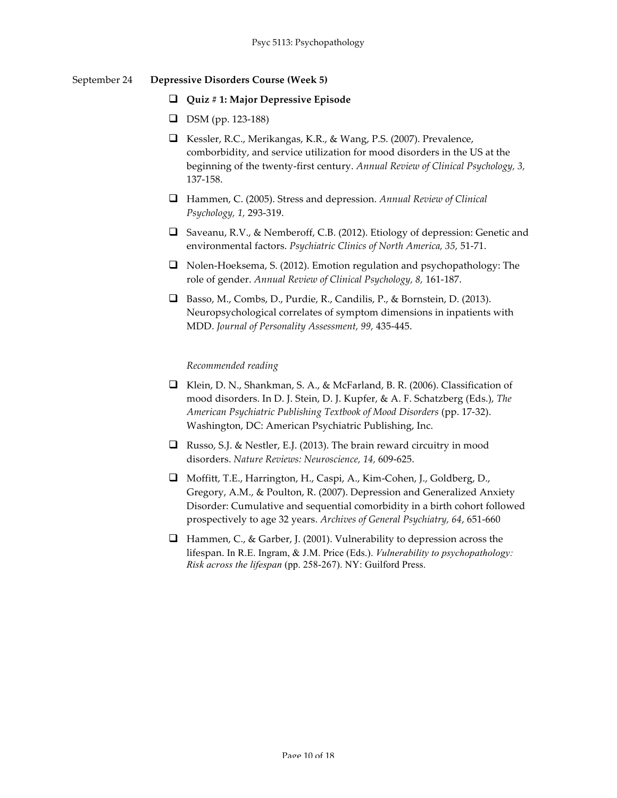## September 24 **Depressive Disorders Course (Week 5)**

- q **Quiz # 1: Major Depressive Episode**
- **D** DSM (pp. 123-188)
- □ Kessler, R.C., Merikangas, K.R., & Wang, P.S. (2007). Prevalence, comborbidity, and service utilization for mood disorders in the US at the beginning of the twenty-first century. *Annual Review of Clinical Psychology, 3,*  137-158.
- q Hammen, C. (2005). Stress and depression. *Annual Review of Clinical Psychology, 1,* 293-319.
- □ Saveanu, R.V., & Nemberoff, C.B. (2012). Etiology of depression: Genetic and environmental factors. *Psychiatric Clinics of North America, 35,* 51-71.
- $\Box$  Nolen-Hoeksema, S. (2012). Emotion regulation and psychopathology: The role of gender. *Annual Review of Clinical Psychology, 8,* 161-187.
- □ Basso, M., Combs, D., Purdie, R., Candilis, P., & Bornstein, D. (2013). Neuropsychological correlates of symptom dimensions in inpatients with MDD. *Journal of Personality Assessment, 99,* 435-445.

- **Q** Klein, D. N., Shankman, S. A., & McFarland, B. R. (2006). Classification of mood disorders. In D. J. Stein, D. J. Kupfer, & A. F. Schatzberg (Eds.), *The American Psychiatric Publishing Textbook of Mood Disorders* (pp. 17-32). Washington, DC: American Psychiatric Publishing, Inc.
- **Q** Russo, S.J. & Nestler, E.J. (2013). The brain reward circuitry in mood disorders. *Nature Reviews: Neuroscience, 14,* 609-625.
- □ Moffitt, T.E., Harrington, H., Caspi, A., Kim-Cohen, J., Goldberg, D., Gregory, A.M., & Poulton, R. (2007). Depression and Generalized Anxiety Disorder: Cumulative and sequential comorbidity in a birth cohort followed prospectively to age 32 years. *Archives of General Psychiatry, 64*, 651-660
- **Q** Hammen, C., & Garber, J. (2001). Vulnerability to depression across the lifespan. In R.E. Ingram, & J.M. Price (Eds.). *Vulnerability to psychopathology: Risk across the lifespan* (pp. 258-267). NY: Guilford Press.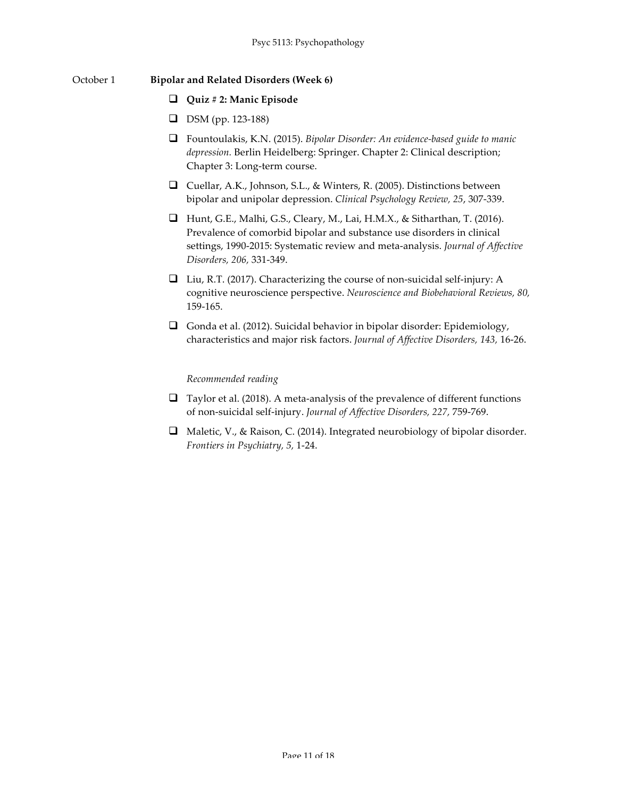## October 1 **Bipolar and Related Disorders (Week 6)**

## q **Quiz # 2: Manic Episode**

- **D** DSM (pp. 123-188)
- q Fountoulakis, K.N. (2015). *Bipolar Disorder: An evidence-based guide to manic depression.* Berlin Heidelberg: Springer. Chapter 2: Clinical description; Chapter 3: Long-term course.
- Q Cuellar, A.K., Johnson, S.L., & Winters, R. (2005). Distinctions between bipolar and unipolar depression. *Clinical Psychology Review, 25*, 307-339.
- $\Box$  Hunt, G.E., Malhi, G.S., Cleary, M., Lai, H.M.X., & Sitharthan, T. (2016). Prevalence of comorbid bipolar and substance use disorders in clinical settings, 1990-2015: Systematic review and meta-analysis. *Journal of Affective Disorders, 206,* 331-349.
- $\Box$  Liu, R.T. (2017). Characterizing the course of non-suicidal self-injury: A cognitive neuroscience perspective. *Neuroscience and Biobehavioral Reviews, 80,*  159-165.
- Gonda et al. (2012). Suicidal behavior in bipolar disorder: Epidemiology, characteristics and major risk factors. *Journal of Affective Disorders, 143,* 16-26.

- $\Box$  Taylor et al. (2018). A meta-analysis of the prevalence of different functions of non-suicidal self-injury. *Journal of Affective Disorders, 227,* 759-769.
- □ Maletic, V., & Raison, C. (2014). Integrated neurobiology of bipolar disorder. *Frontiers in Psychiatry, 5,* 1-24.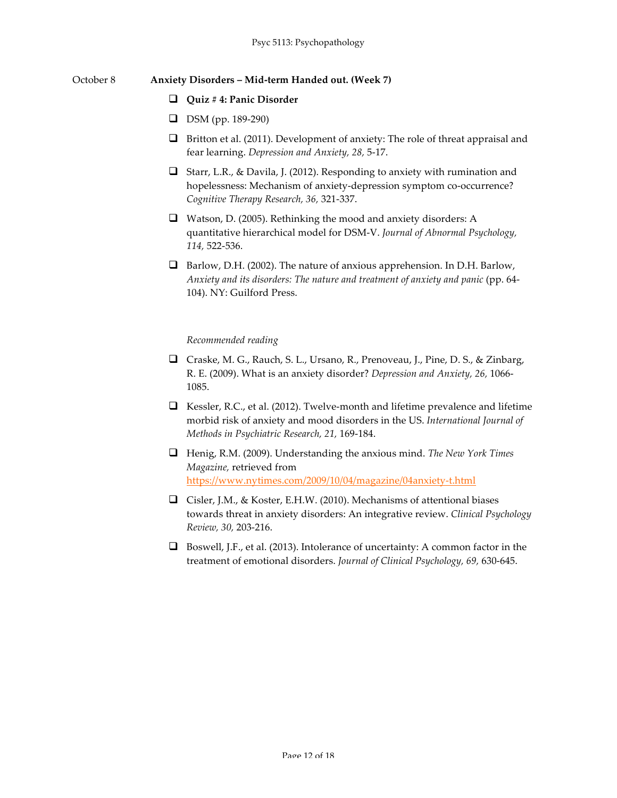#### October 8 **Anxiety Disorders – Mid-term Handed out. (Week 7)**

#### q **Quiz # 4: Panic Disorder**

- **D** DSM (pp. 189-290)
- $\Box$  Britton et al. (2011). Development of anxiety: The role of threat appraisal and fear learning. *Depression and Anxiety, 28,* 5-17.
- G Starr, L.R., & Davila, J. (2012). Responding to anxiety with rumination and hopelessness: Mechanism of anxiety-depression symptom co-occurrence? *Cognitive Therapy Research, 36,* 321-337.
- $\Box$  Watson, D. (2005). Rethinking the mood and anxiety disorders: A quantitative hierarchical model for DSM-V. *Journal of Abnormal Psychology, 114,* 522-536.
- $\Box$  Barlow, D.H. (2002). The nature of anxious apprehension. In D.H. Barlow, *Anxiety and its disorders: The nature and treatment of anxiety and panic* (pp. 64- 104). NY: Guilford Press.

- □ Craske, M. G., Rauch, S. L., Ursano, R., Prenoveau, J., Pine, D. S., & Zinbarg, R. E. (2009). What is an anxiety disorder? *Depression and Anxiety, 26,* 1066- 1085.
- G Kessler, R.C., et al. (2012). Twelve-month and lifetime prevalence and lifetime morbid risk of anxiety and mood disorders in the US. *International Journal of Methods in Psychiatric Research, 21,* 169-184.
- q Henig, R.M. (2009). Understanding the anxious mind. *The New York Times Magazine,* retrieved from https://www.nytimes.com/2009/10/04/magazine/04anxiety-t.html
- Gisler, J.M., & Koster, E.H.W. (2010). Mechanisms of attentional biases towards threat in anxiety disorders: An integrative review. *Clinical Psychology Review, 30,* 203-216.
- $\Box$  Boswell, J.F., et al. (2013). Intolerance of uncertainty: A common factor in the treatment of emotional disorders. *Journal of Clinical Psychology, 69,* 630-645.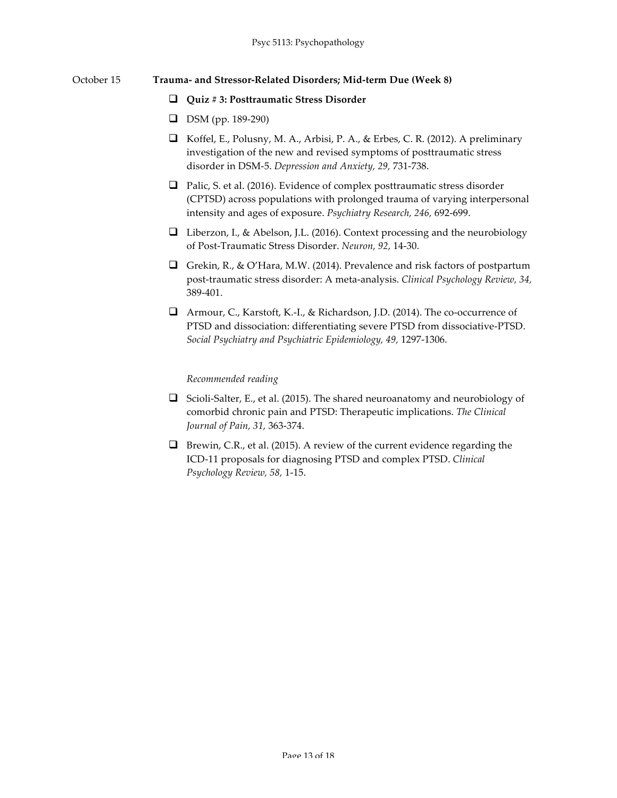#### October 15 **Trauma- and Stressor-Related Disorders; Mid-term Due (Week 8)**

#### q **Quiz # 3: Posttraumatic Stress Disorder**

- **D** DSM (pp. 189-290)
- $\Box$  Koffel, E., Polusny, M. A., Arbisi, P. A., & Erbes, C. R. (2012). A preliminary investigation of the new and revised symptoms of posttraumatic stress disorder in DSM-5. *Depression and Anxiety, 29,* 731-738.
- $\Box$  Palic, S. et al. (2016). Evidence of complex posttraumatic stress disorder (CPTSD) across populations with prolonged trauma of varying interpersonal intensity and ages of exposure. *Psychiatry Research, 246,* 692-699.
- $\Box$  Liberzon, I., & Abelson, J.L. (2016). Context processing and the neurobiology of Post-Traumatic Stress Disorder. *Neuron, 92,* 14-30.
- Grekin, R., & O'Hara, M.W. (2014). Prevalence and risk factors of postpartum post-traumatic stress disorder: A meta-analysis. *Clinical Psychology Review, 34,*  389-401.
- □ Armour, C., Karstoft, K.-I., & Richardson, J.D. (2014). The co-occurrence of PTSD and dissociation: differentiating severe PTSD from dissociative-PTSD. *Social Psychiatry and Psychiatric Epidemiology, 49,* 1297-1306.

- G Scioli-Salter, E., et al. (2015). The shared neuroanatomy and neurobiology of comorbid chronic pain and PTSD: Therapeutic implications. *The Clinical Journal of Pain, 31,* 363-374.
- $\Box$  Brewin, C.R., et al. (2015). A review of the current evidence regarding the ICD-11 proposals for diagnosing PTSD and complex PTSD. *Clinical Psychology Review, 58,* 1-15.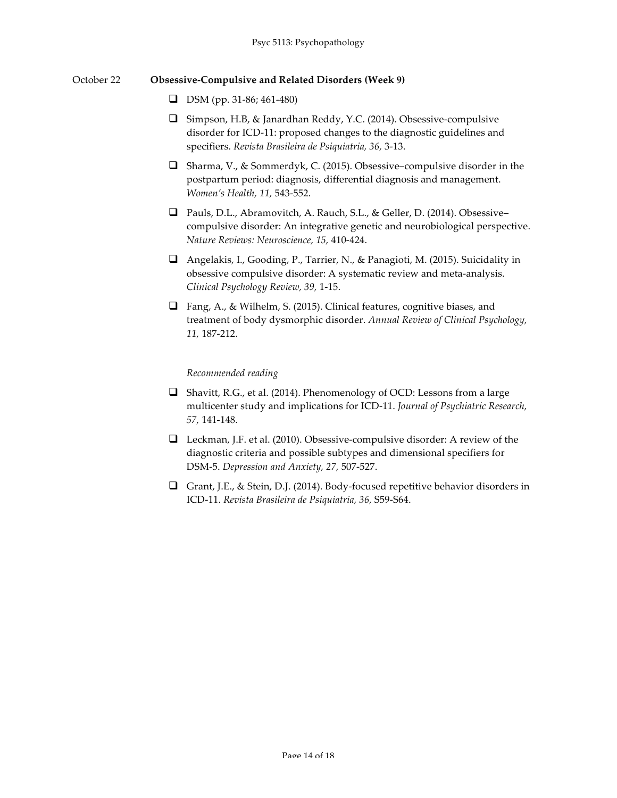## October 22 **Obsessive-Compulsive and Related Disorders (Week 9)**

- $\Box$  DSM (pp. 31-86; 461-480)
- $\Box$  Simpson, H.B, & Janardhan Reddy, Y.C. (2014). Obsessive-compulsive disorder for ICD-11: proposed changes to the diagnostic guidelines and specifiers. *Revista Brasileira de Psiquiatria, 36,* 3-13.
- $\Box$  Sharma, V., & Sommerdyk, C. (2015). Obsessive–compulsive disorder in the postpartum period: diagnosis, differential diagnosis and management. *Women's Health, 11,* 543-552.
- □ Pauls, D.L., Abramovitch, A. Rauch, S.L., & Geller, D. (2014). Obsessive– compulsive disorder: An integrative genetic and neurobiological perspective. *Nature Reviews: Neuroscience, 15,* 410-424.
- $\Box$  Angelakis, I., Gooding, P., Tarrier, N., & Panagioti, M. (2015). Suicidality in obsessive compulsive disorder: A systematic review and meta-analysis. *Clinical Psychology Review, 39,* 1-15.
- $\Box$  Fang, A., & Wilhelm, S. (2015). Clinical features, cognitive biases, and treatment of body dysmorphic disorder. *Annual Review of Clinical Psychology, 11,* 187-212.

- $\Box$  Shavitt, R.G., et al. (2014). Phenomenology of OCD: Lessons from a large multicenter study and implications for ICD-11. *Journal of Psychiatric Research, 57,* 141-148.
- $\Box$  Leckman, J.F. et al. (2010). Obsessive-compulsive disorder: A review of the diagnostic criteria and possible subtypes and dimensional specifiers for DSM-5. *Depression and Anxiety, 27,* 507-527.
- Grant, J.E., & Stein, D.J. (2014). Body-focused repetitive behavior disorders in ICD-11. *Revista Brasileira de Psiquiatria, 36,* S59-S64.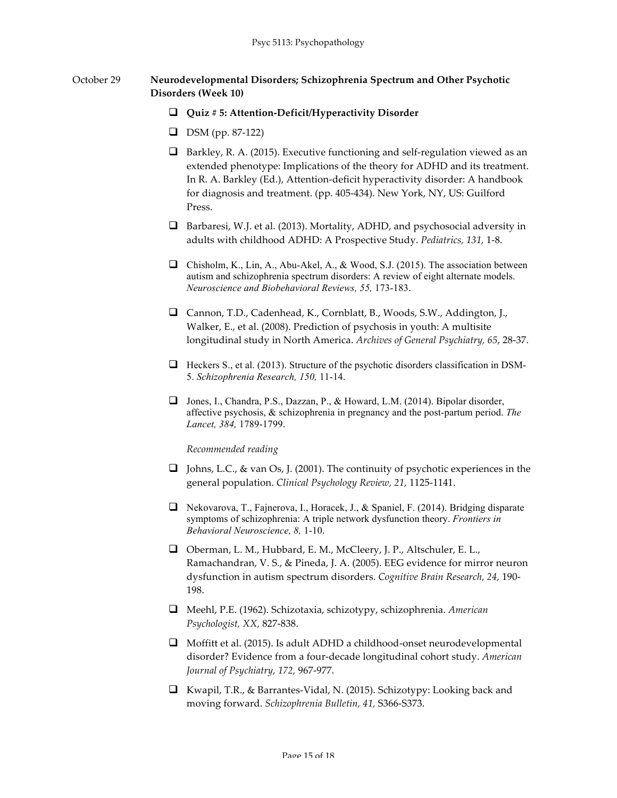# October 29 **Neurodevelopmental Disorders; Schizophrenia Spectrum and Other Psychotic Disorders (Week 10)**

#### q **Quiz # 5: Attention-Deficit/Hyperactivity Disorder**

- **D** DSM (pp. 87-122)
- $\Box$  Barkley, R. A. (2015). Executive functioning and self-regulation viewed as an extended phenotype: Implications of the theory for ADHD and its treatment. In R. A. Barkley (Ed.), Attention-deficit hyperactivity disorder: A handbook for diagnosis and treatment. (pp. 405-434). New York, NY, US: Guilford Press.
- $\Box$  Barbaresi, W.J. et al. (2013). Mortality, ADHD, and psychosocial adversity in adults with childhood ADHD: A Prospective Study. *Pediatrics, 131,* 1-8.
- $\Box$  Chisholm, K., Lin, A., Abu-Akel, A., & Wood, S.J. (2015). The association between autism and schizophrenia spectrum disorders: A review of eight alternate models. *Neuroscience and Biobehavioral Reviews, 55,* 173-183.
- □ Cannon, T.D., Cadenhead, K., Cornblatt, B., Woods, S.W., Addington, J., Walker, E., et al. (2008). Prediction of psychosis in youth: A multisite longitudinal study in North America. *Archives of General Psychiatry, 65*, 28-37.
- $\Box$  Heckers S., et al. (2013). Structure of the psychotic disorders classification in DSM-5. *Schizophrenia Research, 150,* 11-14.
- **Q** Jones, I., Chandra, P.S., Dazzan, P., & Howard, L.M. (2014). Bipolar disorder, affective psychosis, & schizophrenia in pregnancy and the post-partum period. *The Lancet, 384,* 1789-1799.

- **Q** Johns, L.C., & van Os, J. (2001). The continuity of psychotic experiences in the general population. *Clinical Psychology Review, 21,* 1125-1141.
- **Q** Nekovarova, T., Fajnerova, I., Horacek, J., & Spaniel, F. (2014). Bridging disparate symptoms of schizophrenia: A triple network dysfunction theory. *Frontiers in Behavioral Neuroscience, 8,* 1-10.
- $\Box$  Oberman, L. M., Hubbard, E. M., McCleery, J. P., Altschuler, E. L., Ramachandran, V. S., & Pineda, J. A. (2005). EEG evidence for mirror neuron dysfunction in autism spectrum disorders. *Cognitive Brain Research, 24,* 190- 198.
- q Meehl, P.E. (1962). Schizotaxia, schizotypy, schizophrenia. *American Psychologist, XX,* 827-838.
- $\Box$  Moffitt et al. (2015). Is adult ADHD a childhood-onset neurodevelopmental disorder? Evidence from a four-decade longitudinal cohort study. *American Journal of Psychiatry, 172,* 967-977.
- q Kwapil, T.R., & Barrantes-Vidal, N. (2015). Schizotypy: Looking back and moving forward. *Schizophrenia Bulletin, 41,* S366-S373.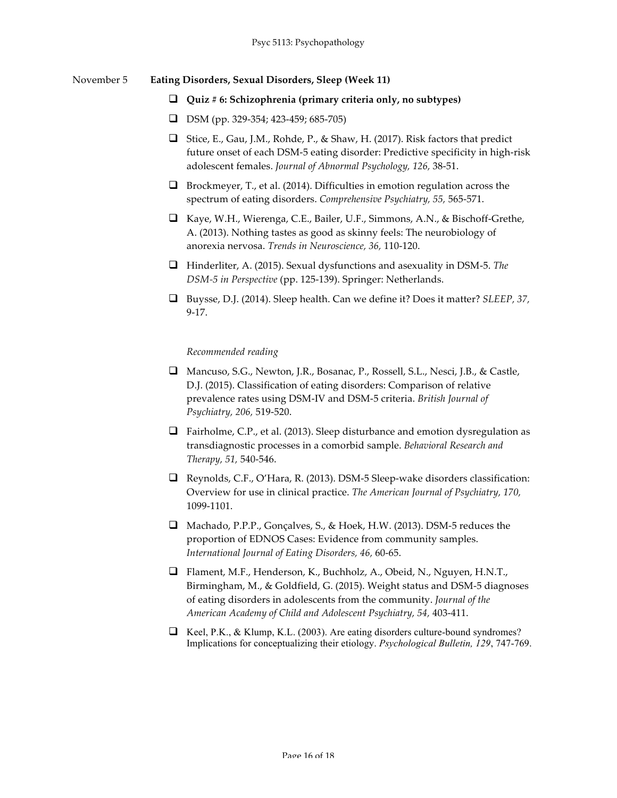#### November 5 **Eating Disorders, Sexual Disorders, Sleep (Week 11)**

#### q **Quiz # 6: Schizophrenia (primary criteria only, no subtypes)**

- $\Box$  DSM (pp. 329-354; 423-459; 685-705)
- G Stice, E., Gau, J.M., Rohde, P., & Shaw, H. (2017). Risk factors that predict future onset of each DSM-5 eating disorder: Predictive specificity in high-risk adolescent females. *Journal of Abnormal Psychology, 126,* 38-51.
- $\Box$  Brockmeyer, T., et al. (2014). Difficulties in emotion regulation across the spectrum of eating disorders. *Comprehensive Psychiatry, 55,* 565-571.
- q Kaye, W.H., Wierenga, C.E., Bailer, U.F., Simmons, A.N., & Bischoff-Grethe, A. (2013). Nothing tastes as good as skinny feels: The neurobiology of anorexia nervosa. *Trends in Neuroscience, 36,* 110-120.
- q Hinderliter, A. (2015). Sexual dysfunctions and asexuality in DSM-5. *The DSM-5 in Perspective* (pp. 125-139). Springer: Netherlands.
- q Buysse, D.J. (2014). Sleep health. Can we define it? Does it matter? *SLEEP, 37,*  9-17.

- □ Mancuso, S.G., Newton, J.R., Bosanac, P., Rossell, S.L., Nesci, J.B., & Castle, D.J. (2015). Classification of eating disorders: Comparison of relative prevalence rates using DSM-IV and DSM-5 criteria. *British Journal of Psychiatry, 206,* 519-520.
- $\Box$  Fairholme, C.P., et al. (2013). Sleep disturbance and emotion dysregulation as transdiagnostic processes in a comorbid sample. *Behavioral Research and Therapy, 51,* 540-546.
- $\Box$  Reynolds, C.F., O'Hara, R. (2013). DSM-5 Sleep-wake disorders classification: Overview for use in clinical practice. *The American Journal of Psychiatry, 170,*  1099-1101.
- □ Machado, P.P.P., Gonçalves, S., & Hoek, H.W. (2013). DSM-5 reduces the proportion of EDNOS Cases: Evidence from community samples. *International Journal of Eating Disorders, 46,* 60-65.
- □ Flament, M.F., Henderson, K., Buchholz, A., Obeid, N., Nguyen, H.N.T., Birmingham, M., & Goldfield, G. (2015). Weight status and DSM-5 diagnoses of eating disorders in adolescents from the community. *Journal of the American Academy of Child and Adolescent Psychiatry, 54,* 403-411.
- $\Box$  Keel, P.K., & Klump, K.L. (2003). Are eating disorders culture-bound syndromes? Implications for conceptualizing their etiology. *Psychological Bulletin, 129*, 747-769.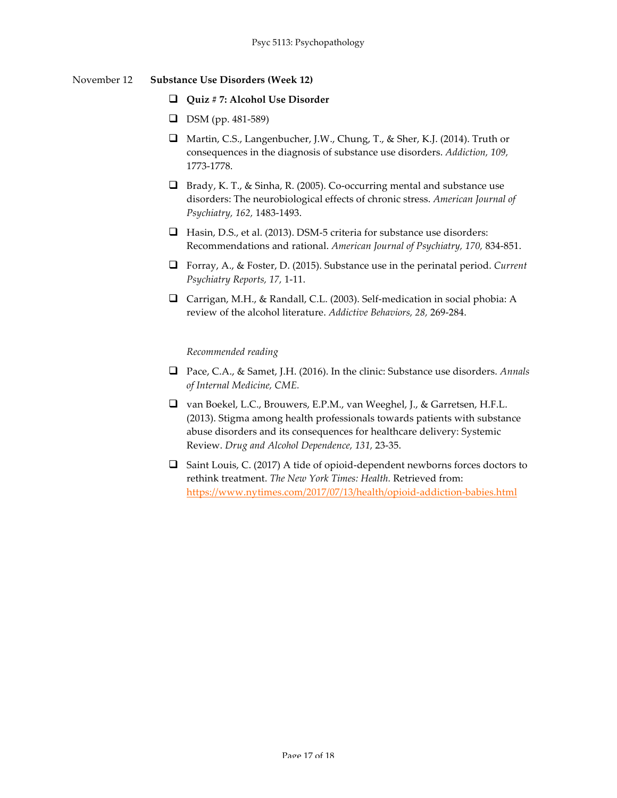# November 12 **Substance Use Disorders (Week 12)**

#### q **Quiz # 7: Alcohol Use Disorder**

- **D** DSM (pp. 481-589)
- □ Martin, C.S., Langenbucher, J.W., Chung, T., & Sher, K.J. (2014). Truth or consequences in the diagnosis of substance use disorders. *Addiction, 109,*  1773-1778.
- $\Box$  Brady, K. T., & Sinha, R. (2005). Co-occurring mental and substance use disorders: The neurobiological effects of chronic stress. *American Journal of Psychiatry, 162,* 1483-1493.
- $\Box$  Hasin, D.S., et al. (2013). DSM-5 criteria for substance use disorders: Recommendations and rational. *American Journal of Psychiatry, 170,* 834-851.
- q Forray, A., & Foster, D. (2015). Substance use in the perinatal period. *Current Psychiatry Reports, 17,* 1-11.
- □ Carrigan, M.H., & Randall, C.L. (2003). Self-medication in social phobia: A review of the alcohol literature. *Addictive Behaviors, 28,* 269-284.

- q Pace, C.A., & Samet, J.H. (2016). In the clinic: Substance use disorders. *Annals of Internal Medicine, CME.*
- □ van Boekel, L.C., Brouwers, E.P.M., van Weeghel, J., & Garretsen, H.F.L. (2013). Stigma among health professionals towards patients with substance abuse disorders and its consequences for healthcare delivery: Systemic Review. *Drug and Alcohol Dependence, 131,* 23-35.
- $\Box$  Saint Louis, C. (2017) A tide of opioid-dependent newborns forces doctors to rethink treatment. *The New York Times: Health.* Retrieved from: https://www.nytimes.com/2017/07/13/health/opioid-addiction-babies.html